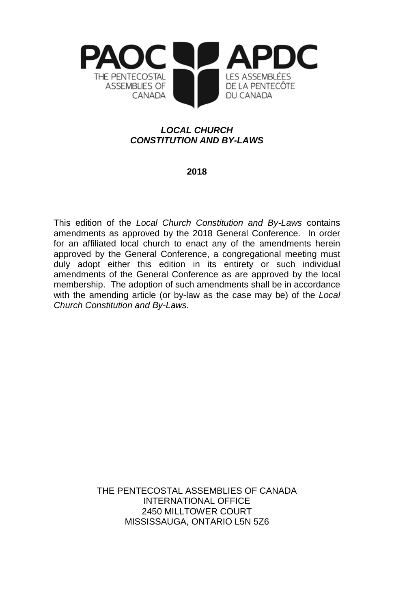

# *LOCAL CHURCH CONSTITUTION AND BY-LAWS*

# **2018**

This edition of the *Local Church Constitution and By-Laws* contains amendments as approved by the 2018 General Conference. In order for an affiliated local church to enact any of the amendments herein approved by the General Conference, a congregational meeting must duly adopt either this edition in its entirety or such individual amendments of the General Conference as are approved by the local membership. The adoption of such amendments shall be in accordance with the amending article (or by-law as the case may be) of the *Local Church Constitution and By-Laws.*

> THE PENTECOSTAL ASSEMBLIES OF CANADA INTERNATIONAL OFFICE 2450 MILLTOWER COURT MISSISSAUGA, ONTARIO L5N 5Z6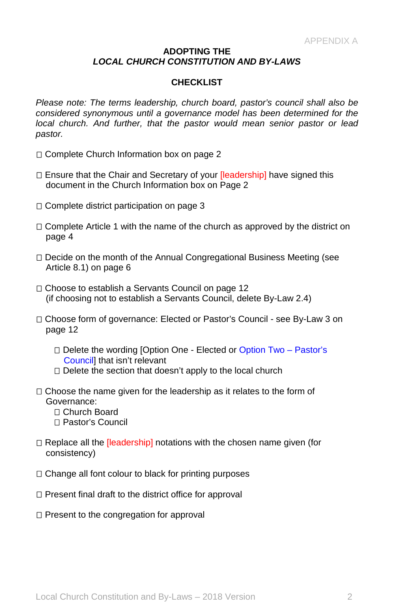#### **ADOPTING THE**  *LOCAL CHURCH CONSTITUTION AND BY-LAWS*

## **CHECKLIST**

*Please note: The terms leadership, church board, pastor's council shall also be considered synonymous until a governance model has been determined for the local church. And further, that the pastor would mean senior pastor or lead pastor.*

- □ Complete Church Information box on page 2
- $\Box$  Ensure that the Chair and Secretary of your *[leadership]* have signed this document in the Church Information box on Page 2
- □ Complete district participation on page 3
- $\Box$  Complete Article 1 with the name of the church as approved by the district on page 4
- $\Box$  Decide on the month of the Annual Congregational Business Meeting (see Article 8.1) on page 6
- □ Choose to establish a Servants Council on page 12 (if choosing not to establish a Servants Council, delete By-Law 2.4)
- □ Choose form of governance: Elected or Pastor's Council see By-Law 3 on page 12
	- □ Delete the wording [Option One Elected or Option Two Pastor's **Councill that isn't relevant**
	- $\Box$  Delete the section that doesn't apply to the local church
- $\Box$  Choose the name given for the leadership as it relates to the form of Governance:
	- □ Church Board
	- Pastor's Council
- $\Box$  Replace all the *[leadership]* notations with the chosen name given (for consistency)
- $\Box$  Change all font colour to black for printing purposes
- $\Box$  Present final draft to the district office for approval
- $\Box$  Present to the congregation for approval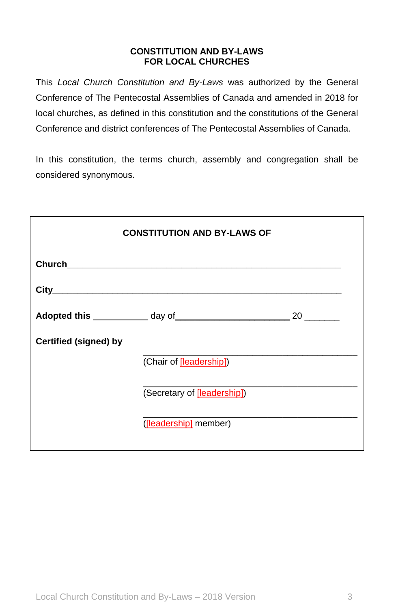## **CONSTITUTION AND BY-LAWS FOR LOCAL CHURCHES**

This *Local Church Constitution and By-Laws* was authorized by the General Conference of The Pentecostal Assemblies of Canada and amended in 2018 for local churches, as defined in this constitution and the constitutions of the General Conference and district conferences of The Pentecostal Assemblies of Canada.

In this constitution, the terms church, assembly and congregation shall be considered synonymous.

| <b>CONSTITUTION AND BY-LAWS OF</b> |                             |  |
|------------------------------------|-----------------------------|--|
|                                    |                             |  |
|                                    |                             |  |
|                                    |                             |  |
| <b>Certified (signed) by</b>       |                             |  |
|                                    | (Chair of [leadership])     |  |
|                                    | (Secretary of [leadership]) |  |
|                                    | ([leadership] member)       |  |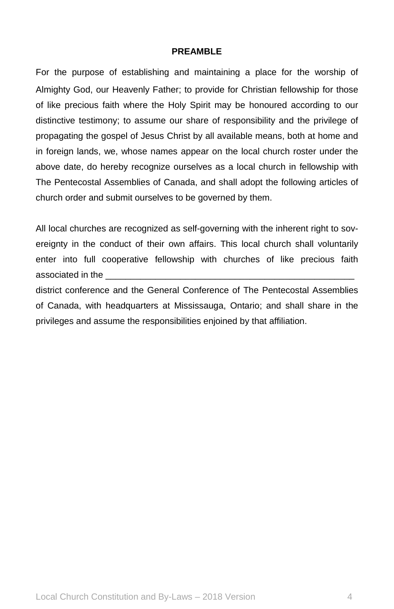## **PREAMBLE**

For the purpose of establishing and maintaining a place for the worship of Almighty God, our Heavenly Father; to provide for Christian fellowship for those of like precious faith where the Holy Spirit may be honoured according to our distinctive testimony; to assume our share of responsibility and the privilege of propagating the gospel of Jesus Christ by all available means, both at home and in foreign lands, we, whose names appear on the local church roster under the above date, do hereby recognize ourselves as a local church in fellowship with The Pentecostal Assemblies of Canada, and shall adopt the following articles of church order and submit ourselves to be governed by them.

All local churches are recognized as self-governing with the inherent right to sovereignty in the conduct of their own affairs. This local church shall voluntarily enter into full cooperative fellowship with churches of like precious faith associated in the

district conference and the General Conference of The Pentecostal Assemblies of Canada, with headquarters at Mississauga, Ontario; and shall share in the privileges and assume the responsibilities enjoined by that affiliation.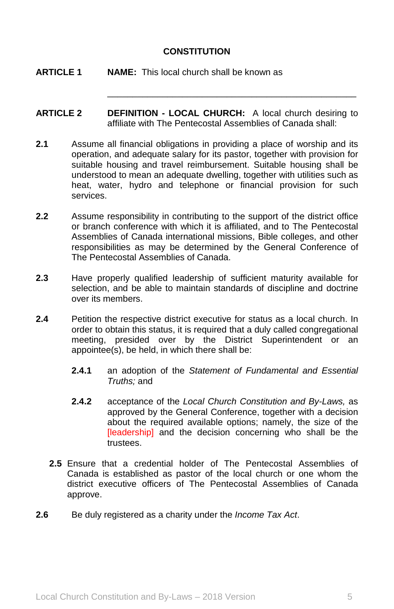# **CONSTITUTION**

- **ARTICLE 1 NAME:** This local church shall be known as
- **ARTICLE 2 DEFINITION - LOCAL CHURCH:** A local church desiring to affiliate with The Pentecostal Assemblies of Canada shall:

\_\_\_\_\_\_\_\_\_\_\_\_\_\_\_\_\_\_\_\_\_\_\_\_\_\_\_\_\_\_\_\_\_\_\_\_\_\_\_\_\_\_\_\_\_\_\_\_\_\_

- **2.1** Assume all financial obligations in providing a place of worship and its operation, and adequate salary for its pastor, together with provision for suitable housing and travel reimbursement. Suitable housing shall be understood to mean an adequate dwelling, together with utilities such as heat, water, hydro and telephone or financial provision for such services.
- **2.2** Assume responsibility in contributing to the support of the district office or branch conference with which it is affiliated, and to The Pentecostal Assemblies of Canada international missions, Bible colleges, and other responsibilities as may be determined by the General Conference of The Pentecostal Assemblies of Canada.
- **2.3** Have properly qualified leadership of sufficient maturity available for selection, and be able to maintain standards of discipline and doctrine over its members.
- **2.4** Petition the respective district executive for status as a local church. In order to obtain this status, it is required that a duly called congregational meeting, presided over by the District Superintendent or an appointee(s), be held, in which there shall be:
	- **2.4.1** an adoption of the *Statement of Fundamental and Essential Truths;* and
	- **2.4.2** acceptance of the *Local Church Constitution and By-Laws,* as approved by the General Conference, together with a decision about the required available options; namely, the size of the [leadership] and the decision concerning who shall be the trustees.
	- **2.5** Ensure that a credential holder of The Pentecostal Assemblies of Canada is established as pastor of the local church or one whom the district executive officers of The Pentecostal Assemblies of Canada approve.
- **2.6** Be duly registered as a charity under the *Income Tax Act*.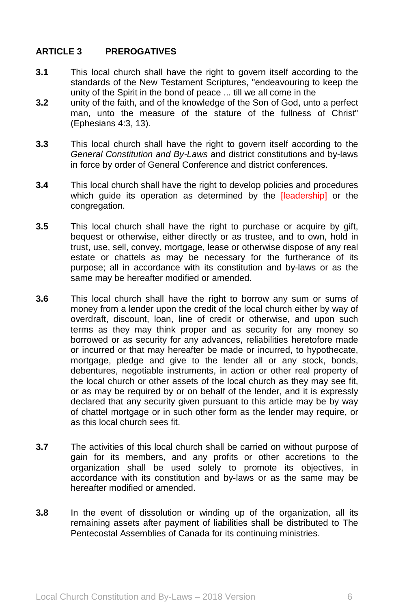# **ARTICLE 3 PREROGATIVES**

- **3.1** This local church shall have the right to govern itself according to the standards of the New Testament Scriptures, "endeavouring to keep the unity of the Spirit in the bond of peace ... till we all come in the
- **3.2** unity of the faith, and of the knowledge of the Son of God, unto a perfect man, unto the measure of the stature of the fullness of Christ" (Ephesians 4:3, 13).
- **3.3** This local church shall have the right to govern itself according to the *General Constitution and By-Laws* and district constitutions and by-laws in force by order of General Conference and district conferences.
- **3.4** This local church shall have the right to develop policies and procedures which quide its operation as determined by the **[leadership]** or the congregation.
- **3.5** This local church shall have the right to purchase or acquire by gift, bequest or otherwise, either directly or as trustee, and to own, hold in trust, use, sell, convey, mortgage, lease or otherwise dispose of any real estate or chattels as may be necessary for the furtherance of its purpose; all in accordance with its constitution and by-laws or as the same may be hereafter modified or amended.
- **3.6** This local church shall have the right to borrow any sum or sums of money from a lender upon the credit of the local church either by way of overdraft, discount, loan, line of credit or otherwise, and upon such terms as they may think proper and as security for any money so borrowed or as security for any advances, reliabilities heretofore made or incurred or that may hereafter be made or incurred, to hypothecate, mortgage, pledge and give to the lender all or any stock, bonds, debentures, negotiable instruments, in action or other real property of the local church or other assets of the local church as they may see fit, or as may be required by or on behalf of the lender, and it is expressly declared that any security given pursuant to this article may be by way of chattel mortgage or in such other form as the lender may require, or as this local church sees fit.
- **3.7** The activities of this local church shall be carried on without purpose of gain for its members, and any profits or other accretions to the organization shall be used solely to promote its objectives, in accordance with its constitution and by-laws or as the same may be hereafter modified or amended.
- **3.8** In the event of dissolution or winding up of the organization, all its remaining assets after payment of liabilities shall be distributed to The Pentecostal Assemblies of Canada for its continuing ministries.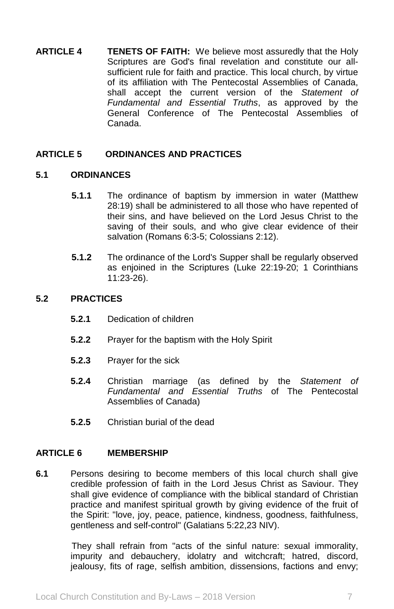**ARTICLE 4 TENETS OF FAITH:** We believe most assuredly that the Holy Scriptures are God's final revelation and constitute our allsufficient rule for faith and practice. This local church, by virtue of its affiliation with The Pentecostal Assemblies of Canada, shall accept the current version of the *Statement of Fundamental and Essential Truths*, as approved by the General Conference of The Pentecostal Assemblies of Canada.

## **ARTICLE 5 ORDINANCES AND PRACTICES**

### **5.1 ORDINANCES**

- **5.1.1** The ordinance of baptism by immersion in water (Matthew 28:19) shall be administered to all those who have repented of their sins, and have believed on the Lord Jesus Christ to the saving of their souls, and who give clear evidence of their salvation (Romans 6:3-5; Colossians 2:12).
- **5.1.2** The ordinance of the Lord's Supper shall be regularly observed as enjoined in the Scriptures (Luke 22:19-20; 1 Corinthians 11:23-26).

# **5.2 PRACTICES**

- **5.2.1** Dedication of children
- **5.2.2** Prayer for the baptism with the Holy Spirit
- **5.2.3** Prayer for the sick
- **5.2.4** Christian marriage (as defined by the *Statement of Fundamental and Essential Truths* of The Pentecostal Assemblies of Canada)
- **5.2.5** Christian burial of the dead

#### **ARTICLE 6 MEMBERSHIP**

**6.1** Persons desiring to become members of this local church shall give credible profession of faith in the Lord Jesus Christ as Saviour. They shall give evidence of compliance with the biblical standard of Christian practice and manifest spiritual growth by giving evidence of the fruit of the Spirit: "love, joy, peace, patience, kindness, goodness, faithfulness, gentleness and self-control" (Galatians 5:22,23 NIV).

> They shall refrain from "acts of the sinful nature: sexual immorality, impurity and debauchery, idolatry and witchcraft; hatred, discord, jealousy, fits of rage, selfish ambition, dissensions, factions and envy;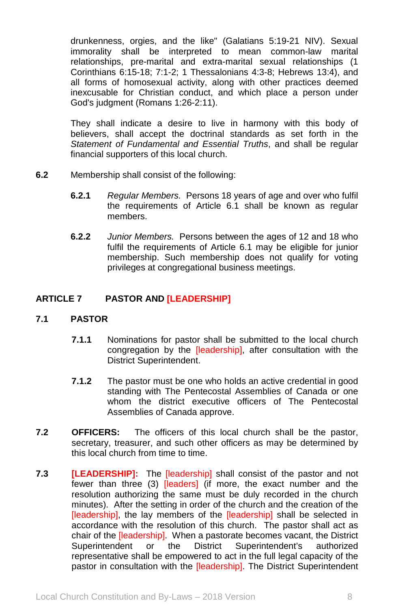drunkenness, orgies, and the like" (Galatians 5:19-21 NIV). Sexual immorality shall be interpreted to mean common-law marital relationships, pre-marital and extra-marital sexual relationships (1 Corinthians 6:15-18; 7:1-2; 1 Thessalonians 4:3-8; Hebrews 13:4), and all forms of homosexual activity, along with other practices deemed inexcusable for Christian conduct, and which place a person under God's judgment (Romans 1:26-2:11).

They shall indicate a desire to live in harmony with this body of believers, shall accept the doctrinal standards as set forth in the *Statement of Fundamental and Essential Truths*, and shall be regular financial supporters of this local church.

- **6.2** Membership shall consist of the following:
	- **6.2.1** *Regular Members.* Persons 18 years of age and over who fulfil the requirements of Article 6.1 shall be known as regular members.
	- **6.2.2** *Junior Members.* Persons between the ages of 12 and 18 who fulfil the requirements of Article 6.1 may be eligible for junior membership. Such membership does not qualify for voting privileges at congregational business meetings.

# **ARTICLE 7 PASTOR AND [LEADERSHIP]**

## **7.1 PASTOR**

- **7.1.1** Nominations for pastor shall be submitted to the local church congregation by the *[leadership]*, after consultation with the District Superintendent.
- **7.1.2** The pastor must be one who holds an active credential in good standing with The Pentecostal Assemblies of Canada or one whom the district executive officers of The Pentecostal Assemblies of Canada approve.
- **7.2 OFFICERS:** The officers of this local church shall be the pastor, secretary, treasurer, and such other officers as may be determined by this local church from time to time.
- **7.3 [LEADERSHIP]:** The [leadership] shall consist of the pastor and not fewer than three (3) [leaders] (if more, the exact number and the resolution authorizing the same must be duly recorded in the church minutes). After the setting in order of the church and the creation of the [leadership], the lay members of the **[leadership]** shall be selected in accordance with the resolution of this church. The pastor shall act as chair of the [leadership]. When a pastorate becomes vacant, the District Superintendent or the District Superintendent's authorized representative shall be empowered to act in the full legal capacity of the pastor in consultation with the [leadership]. The District Superintendent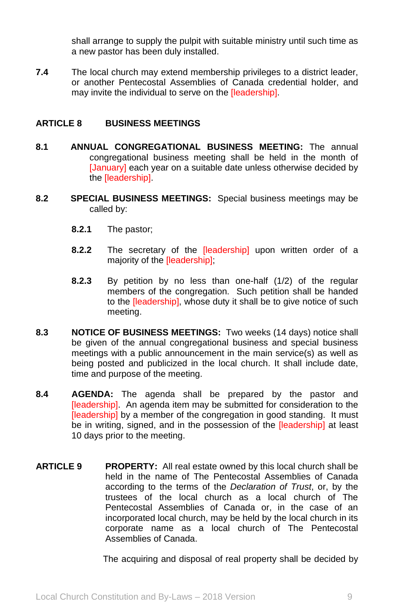shall arrange to supply the pulpit with suitable ministry until such time as a new pastor has been duly installed.

**7.4** The local church may extend membership privileges to a district leader, or another Pentecostal Assemblies of Canada credential holder, and may invite the individual to serve on the [leadership].

## **ARTICLE 8 BUSINESS MEETINGS**

- **8.1 ANNUAL CONGREGATIONAL BUSINESS MEETING:** The annual congregational business meeting shall be held in the month of [January] each year on a suitable date unless otherwise decided by the [leadership].
- **8.2 SPECIAL BUSINESS MEETINGS:** Special business meetings may be called by:
	- **8.2.1** The pastor;
	- **8.2.2** The secretary of the [leadership] upon written order of a majority of the [leadership];
	- **8.2.3** By petition by no less than one-half (1/2) of the regular members of the congregation. Such petition shall be handed to the [leadership], whose duty it shall be to give notice of such meeting.
- **8.3 NOTICE OF BUSINESS MEETINGS:** Two weeks (14 days) notice shall be given of the annual congregational business and special business meetings with a public announcement in the main service(s) as well as being posted and publicized in the local church. It shall include date, time and purpose of the meeting.
- **8.4 AGENDA:** The agenda shall be prepared by the pastor and [leadership]. An agenda item may be submitted for consideration to the [leadership] by a member of the congregation in good standing. It must be in writing, signed, and in the possession of the **[leadership]** at least 10 days prior to the meeting.
- **ARTICLE 9 PROPERTY:** All real estate owned by this local church shall be held in the name of The Pentecostal Assemblies of Canada according to the terms of the *Declaration of Trust*, or, by the trustees of the local church as a local church of The Pentecostal Assemblies of Canada or, in the case of an incorporated local church, may be held by the local church in its corporate name as a local church of The Pentecostal Assemblies of Canada.

The acquiring and disposal of real property shall be decided by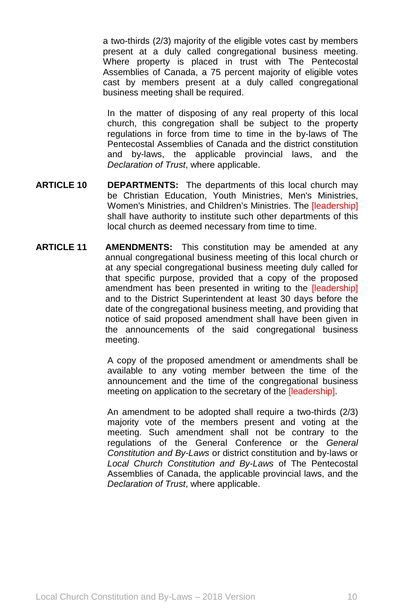a two-thirds (2/3) majority of the eligible votes cast by members present at a duly called congregational business meeting. Where property is placed in trust with The Pentecostal Assemblies of Canada, a 75 percent majority of eligible votes cast by members present at a duly called congregational business meeting shall be required.

In the matter of disposing of any real property of this local church, this congregation shall be subject to the property regulations in force from time to time in the by-laws of The Pentecostal Assemblies of Canada and the district constitution and by-laws, the applicable provincial laws, and the *Declaration of Trust*, where applicable.

- **ARTICLE 10 DEPARTMENTS:** The departments of this local church may be Christian Education, Youth Ministries, Men's Ministries, Women's Ministries, and Children's Ministries. The [leadership] shall have authority to institute such other departments of this local church as deemed necessary from time to time.
- **ARTICLE 11 AMENDMENTS:** This constitution may be amended at any annual congregational business meeting of this local church or at any special congregational business meeting duly called for that specific purpose, provided that a copy of the proposed amendment has been presented in writing to the [leadership] and to the District Superintendent at least 30 days before the date of the congregational business meeting, and providing that notice of said proposed amendment shall have been given in the announcements of the said congregational business meeting.

A copy of the proposed amendment or amendments shall be available to any voting member between the time of the announcement and the time of the congregational business meeting on application to the secretary of the [leadership].

An amendment to be adopted shall require a two-thirds (2/3) majority vote of the members present and voting at the meeting. Such amendment shall not be contrary to the regulations of the General Conference or the *General Constitution and By-Laws* or district constitution and by-laws or *Local Church Constitution and By-Laws* of The Pentecostal Assemblies of Canada, the applicable provincial laws, and the *Declaration of Trust*, where applicable.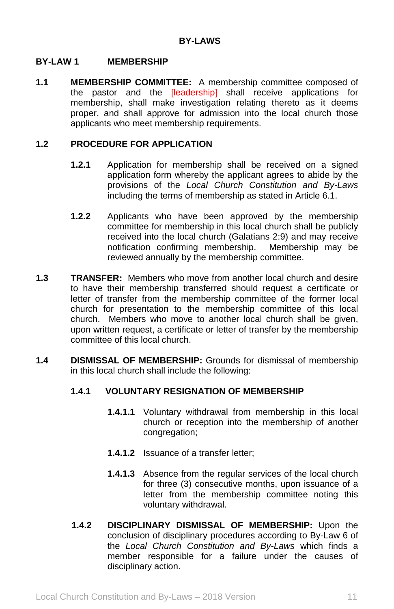### **BY-LAW 1 MEMBERSHIP**

**1.1 MEMBERSHIP COMMITTEE:** A membership committee composed of the pastor and the [leadership] shall receive applications for membership, shall make investigation relating thereto as it deems proper, and shall approve for admission into the local church those applicants who meet membership requirements.

## **1.2 PROCEDURE FOR APPLICATION**

- **1.2.1** Application for membership shall be received on a signed application form whereby the applicant agrees to abide by the provisions of the *Local Church Constitution and By-Laws*  including the terms of membership as stated in Article 6.1.
- **1.2.2** Applicants who have been approved by the membership committee for membership in this local church shall be publicly received into the local church (Galatians 2:9) and may receive notification confirming membership. Membership may be reviewed annually by the membership committee.
- **1.3 TRANSFER:** Members who move from another local church and desire to have their membership transferred should request a certificate or letter of transfer from the membership committee of the former local church for presentation to the membership committee of this local church. Members who move to another local church shall be given, upon written request, a certificate or letter of transfer by the membership committee of this local church.
- **1.4 DISMISSAL OF MEMBERSHIP:** Grounds for dismissal of membership in this local church shall include the following:

## **1.4.1 VOLUNTARY RESIGNATION OF MEMBERSHIP**

- **1.4.1.1** Voluntary withdrawal from membership in this local church or reception into the membership of another congregation;
- **1.4.1.2** Issuance of a transfer letter;
- **1.4.1.3** Absence from the regular services of the local church for three (3) consecutive months, upon issuance of a letter from the membership committee noting this voluntary withdrawal.
- **1.4.2 DISCIPLINARY DISMISSAL OF MEMBERSHIP:** Upon the conclusion of disciplinary procedures according to By-Law 6 of the *Local Church Constitution and By-Laws* which finds a member responsible for a failure under the causes of disciplinary action.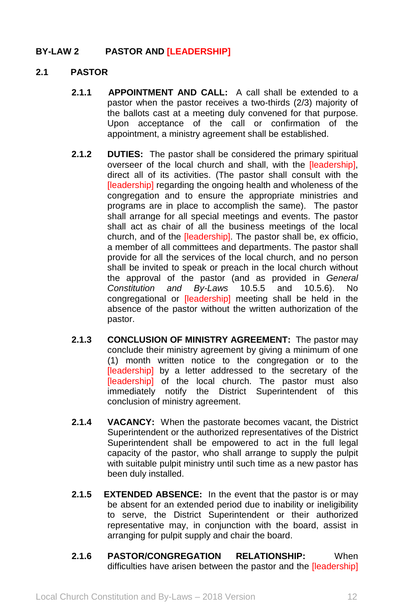# **BY-LAW 2 PASTOR AND [LEADERSHIP]**

## **2.1 PASTOR**

- **2.1.1 APPOINTMENT AND CALL:** A call shall be extended to a pastor when the pastor receives a two-thirds (2/3) majority of the ballots cast at a meeting duly convened for that purpose. Upon acceptance of the call or confirmation of the appointment, a ministry agreement shall be established.
- **2.1.2 DUTIES:** The pastor shall be considered the primary spiritual overseer of the local church and shall, with the [leadership], direct all of its activities. (The pastor shall consult with the [leadership] regarding the ongoing health and wholeness of the congregation and to ensure the appropriate ministries and programs are in place to accomplish the same). The pastor shall arrange for all special meetings and events. The pastor shall act as chair of all the business meetings of the local church, and of the [leadership]. The pastor shall be, ex officio, a member of all committees and departments. The pastor shall provide for all the services of the local church, and no person shall be invited to speak or preach in the local church without the approval of the pastor (and as provided in *General Constitution and By-Laws* 10.5.5 and 10.5.6). No congregational or [leadership] meeting shall be held in the absence of the pastor without the written authorization of the pastor.
- **2.1.3 CONCLUSION OF MINISTRY AGREEMENT:** The pastor may conclude their ministry agreement by giving a minimum of one (1) month written notice to the congregation or to the [leadership] by a letter addressed to the secretary of the [leadership] of the local church. The pastor must also immediately notify the District Superintendent of this conclusion of ministry agreement.
- **2.1.4 VACANCY:** When the pastorate becomes vacant, the District Superintendent or the authorized representatives of the District Superintendent shall be empowered to act in the full legal capacity of the pastor, who shall arrange to supply the pulpit with suitable pulpit ministry until such time as a new pastor has been duly installed.
- **2.1.5 EXTENDED ABSENCE:** In the event that the pastor is or may be absent for an extended period due to inability or ineligibility to serve, the District Superintendent or their authorized representative may, in conjunction with the board, assist in arranging for pulpit supply and chair the board.
- **2.1.6 PASTOR/CONGREGATION RELATIONSHIP:** When difficulties have arisen between the pastor and the [leadership]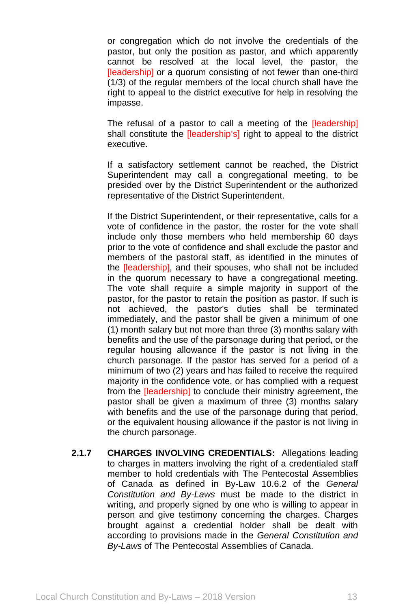or congregation which do not involve the credentials of the pastor, but only the position as pastor, and which apparently cannot be resolved at the local level, the pastor, the [leadership] or a quorum consisting of not fewer than one-third (1/3) of the regular members of the local church shall have the right to appeal to the district executive for help in resolving the impasse.

The refusal of a pastor to call a meeting of the [leadership] shall constitute the **[leadership's]** right to appeal to the district executive.

If a satisfactory settlement cannot be reached, the District Superintendent may call a congregational meeting, to be presided over by the District Superintendent or the authorized representative of the District Superintendent.

If the District Superintendent, or their representative, calls for a vote of confidence in the pastor, the roster for the vote shall include only those members who held membership 60 days prior to the vote of confidence and shall exclude the pastor and members of the pastoral staff, as identified in the minutes of the [leadership], and their spouses, who shall not be included in the quorum necessary to have a congregational meeting. The vote shall require a simple majority in support of the pastor, for the pastor to retain the position as pastor. If such is not achieved, the pastor's duties shall be terminated immediately, and the pastor shall be given a minimum of one (1) month salary but not more than three (3) months salary with benefits and the use of the parsonage during that period, or the regular housing allowance if the pastor is not living in the church parsonage. If the pastor has served for a period of a minimum of two (2) years and has failed to receive the required majority in the confidence vote, or has complied with a request from the [leadership] to conclude their ministry agreement, the pastor shall be given a maximum of three (3) months salary with benefits and the use of the parsonage during that period, or the equivalent housing allowance if the pastor is not living in the church parsonage.

**2.1.7 CHARGES INVOLVING CREDENTIALS:** Allegations leading to charges in matters involving the right of a credentialed staff member to hold credentials with The Pentecostal Assemblies of Canada as defined in By-Law 10.6.2 of the *General Constitution and By-Laws* must be made to the district in writing, and properly signed by one who is willing to appear in person and give testimony concerning the charges. Charges brought against a credential holder shall be dealt with according to provisions made in the *General Constitution and By-Laws* of The Pentecostal Assemblies of Canada.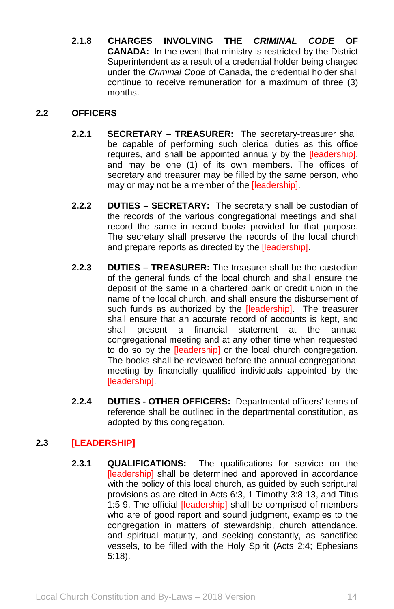**2.1.8 CHARGES INVOLVING THE** *CRIMINAL CODE* **OF CANADA:** In the event that ministry is restricted by the District Superintendent as a result of a credential holder being charged under the *Criminal Code* of Canada, the credential holder shall continue to receive remuneration for a maximum of three (3) months.

# **2.2 OFFICERS**

- **2.2.1 SECRETARY – TREASURER:** The secretary-treasurer shall be capable of performing such clerical duties as this office requires, and shall be appointed annually by the *[leadership]*, and may be one (1) of its own members. The offices of secretary and treasurer may be filled by the same person, who may or may not be a member of the [leadership].
- **2.2.2 DUTIES – SECRETARY:** The secretary shall be custodian of the records of the various congregational meetings and shall record the same in record books provided for that purpose. The secretary shall preserve the records of the local church and prepare reports as directed by the *[leadership]*.
- **2.2.3 DUTIES – TREASURER:** The treasurer shall be the custodian of the general funds of the local church and shall ensure the deposit of the same in a chartered bank or credit union in the name of the local church, and shall ensure the disbursement of such funds as authorized by the [leadership]. The treasurer shall ensure that an accurate record of accounts is kept, and shall present a financial statement at the annual congregational meeting and at any other time when requested to do so by the [leadership] or the local church congregation. The books shall be reviewed before the annual congregational meeting by financially qualified individuals appointed by the [leadership].
- **2.2.4 DUTIES - OTHER OFFICERS:** Departmental officers' terms of reference shall be outlined in the departmental constitution, as adopted by this congregation.

# **2.3 [LEADERSHIP]**

**2.3.1 QUALIFICATIONS:** The qualifications for service on the [leadership] shall be determined and approved in accordance with the policy of this local church, as guided by such scriptural provisions as are cited in Acts 6:3, 1 Timothy 3:8-13, and Titus 1:5-9. The official *[leadership]* shall be comprised of members who are of good report and sound judgment, examples to the congregation in matters of stewardship, church attendance, and spiritual maturity, and seeking constantly, as sanctified vessels, to be filled with the Holy Spirit (Acts 2:4; Ephesians 5:18).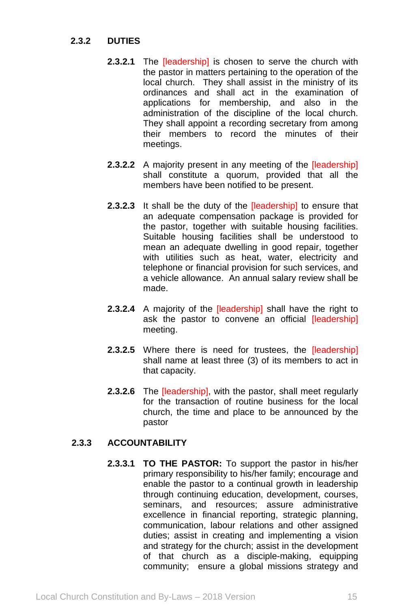# **2.3.2 DUTIES**

- **2.3.2.1** The *[leadership]* is chosen to serve the church with the pastor in matters pertaining to the operation of the local church. They shall assist in the ministry of its ordinances and shall act in the examination of applications for membership, and also in the administration of the discipline of the local church. They shall appoint a recording secretary from among their members to record the minutes of their meetings.
- **2.3.2.2** A majority present in any meeting of the **[leadership]** shall constitute a quorum, provided that all the members have been notified to be present.
- **2.3.2.3** It shall be the duty of the [leadership] to ensure that an adequate compensation package is provided for the pastor, together with suitable housing facilities. Suitable housing facilities shall be understood to mean an adequate dwelling in good repair, together with utilities such as heat, water, electricity and telephone or financial provision for such services, and a vehicle allowance. An annual salary review shall be made.
- **2.3.2.4** A majority of the **[leadership]** shall have the right to ask the pastor to convene an official *[leadership]* meeting.
- 2.3.2.5 Where there is need for trustees, the [leadership] shall name at least three (3) of its members to act in that capacity.
- **2.3.2.6** The [leadership], with the pastor, shall meet regularly for the transaction of routine business for the local church, the time and place to be announced by the pastor

# **2.3.3 ACCOUNTABILITY**

**2.3.3.1 TO THE PASTOR:** To support the pastor in his/her primary responsibility to his/her family; encourage and enable the pastor to a continual growth in leadership through continuing education, development, courses, seminars, and resources; assure administrative excellence in financial reporting, strategic planning, communication, labour relations and other assigned duties; assist in creating and implementing a vision and strategy for the church; assist in the development of that church as a disciple-making, equipping community; ensure a global missions strategy and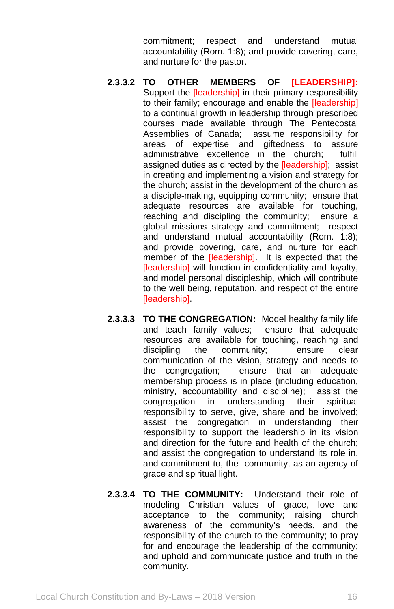commitment; respect and understand mutual accountability (Rom. 1:8); and provide covering, care, and nurture for the pastor.

- **2.3.3.2 TO OTHER MEMBERS OF [LEADERSHIP]:**  Support the **[leadership]** in their primary responsibility to their family; encourage and enable the [leadership] to a continual growth in leadership through prescribed courses made available through The Pentecostal<br>Assemblies of Canada; assume responsibility for assume responsibility for areas of expertise and giftedness to assure administrative excellence in the church; fulfill assigned duties as directed by the [leadership]; assist in creating and implementing a vision and strategy for the church; assist in the development of the church as a disciple-making, equipping community; ensure that adequate resources are available for touching, reaching and discipling the community; ensure a global missions strategy and commitment; respect and understand mutual accountability (Rom. 1:8); and provide covering, care, and nurture for each member of the [leadership]. It is expected that the [leadership] will function in confidentiality and loyalty, and model personal discipleship, which will contribute to the well being, reputation, and respect of the entire [leadership].
- **2.3.3.3 TO THE CONGREGATION:** Model healthy family life and teach family values; ensure that adequate resources are available for touching, reaching and discipling the community; ensure clear communication of the vision, strategy and needs to the congregation; ensure that an adequate membership process is in place (including education, ministry, accountability and discipline); assist the congregation in understanding their spiritual responsibility to serve, give, share and be involved; assist the congregation in understanding their responsibility to support the leadership in its vision and direction for the future and health of the church; and assist the congregation to understand its role in, and commitment to, the community, as an agency of grace and spiritual light.
- **2.3.3.4 TO THE COMMUNITY:** Understand their role of modeling Christian values of grace, love and acceptance to the community; raising church awareness of the community's needs, and the responsibility of the church to the community; to pray for and encourage the leadership of the community; and uphold and communicate justice and truth in the community.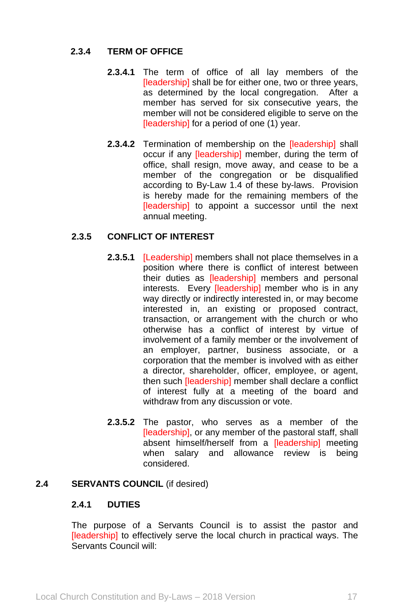# **2.3.4 TERM OF OFFICE**

- **2.3.4.1** The term of office of all lay members of the [leadership] shall be for either one, two or three years, as determined by the local congregation. After a member has served for six consecutive years, the member will not be considered eligible to serve on the [leadership] for a period of one (1) year.
- **2.3.4.2** Termination of membership on the [leadership] shall occur if any [leadership] member, during the term of office, shall resign, move away, and cease to be a member of the congregation or be disqualified according to By-Law 1.4 of these by-laws. Provision is hereby made for the remaining members of the [leadership] to appoint a successor until the next annual meeting.

## **2.3.5 CONFLICT OF INTEREST**

- **2.3.5.1** [Leadership] members shall not place themselves in a position where there is conflict of interest between their duties as [leadership] members and personal interests. Every *[leadership]* member who is in any way directly or indirectly interested in, or may become interested in, an existing or proposed contract, transaction, or arrangement with the church or who otherwise has a conflict of interest by virtue of involvement of a family member or the involvement of an employer, partner, business associate, or a corporation that the member is involved with as either a director, shareholder, officer, employee, or agent, then such [leadership] member shall declare a conflict of interest fully at a meeting of the board and withdraw from any discussion or vote.
- **2.3.5.2** The pastor, who serves as a member of the [leadership], or any member of the pastoral staff, shall absent himself/herself from a [leadership] meeting when salary and allowance review is being considered.

### **2.4 SERVANTS COUNCIL** (if desired)

#### **2.4.1 DUTIES**

The purpose of a Servants Council is to assist the pastor and [leadership] to effectively serve the local church in practical ways. The Servants Council will: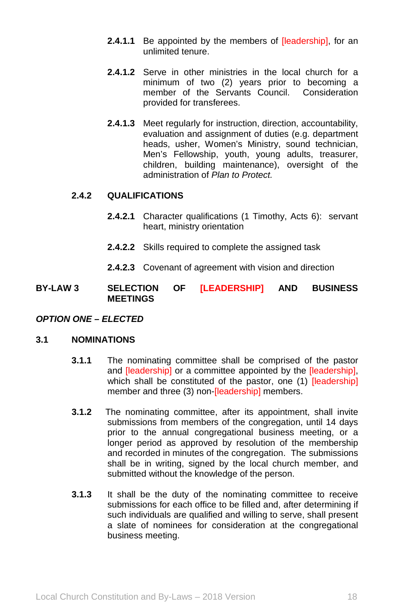- **2.4.1.1** Be appointed by the members of **[leadership]**, for an unlimited tenure.
- **2.4.1.2** Serve in other ministries in the local church for a minimum of two (2) years prior to becoming a member of the Servants Council. Consideration provided for transferees.
- **2.4.1.3** Meet regularly for instruction, direction, accountability, evaluation and assignment of duties (e.g. department heads, usher, Women's Ministry, sound technician, Men's Fellowship, youth, young adults, treasurer, children, building maintenance), oversight of the administration of *Plan to Protect.*

# **2.4.2 QUALIFICATIONS**

- **2.4.2.1** Character qualifications (1 Timothy, Acts 6): servant heart, ministry orientation
- **2.4.2.2** Skills required to complete the assigned task
- **2.4.2.3** Covenant of agreement with vision and direction

**BY-LAW 3 SELECTION OF [LEADERSHIP] AND BUSINESS MEETINGS**

#### *OPTION ONE – ELECTED*

### **3.1 NOMINATIONS**

- **3.1.1** The nominating committee shall be comprised of the pastor and **[leadership]** or a committee appointed by the **[leadership]**, which shall be constituted of the pastor, one (1) [leadership] member and three (3) non-[leadership] members.
- **3.1.2** The nominating committee, after its appointment, shall invite submissions from members of the congregation, until 14 days prior to the annual congregational business meeting, or a longer period as approved by resolution of the membership and recorded in minutes of the congregation. The submissions shall be in writing, signed by the local church member, and submitted without the knowledge of the person.
- **3.1.3** It shall be the duty of the nominating committee to receive submissions for each office to be filled and, after determining if such individuals are qualified and willing to serve, shall present a slate of nominees for consideration at the congregational business meeting.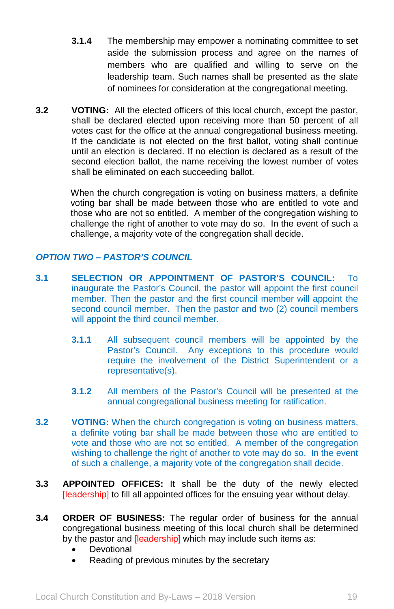- **3.1.4** The membership may empower a nominating committee to set aside the submission process and agree on the names of members who are qualified and willing to serve on the leadership team. Such names shall be presented as the slate of nominees for consideration at the congregational meeting.
- **3.2 VOTING:** All the elected officers of this local church, except the pastor, shall be declared elected upon receiving more than 50 percent of all votes cast for the office at the annual congregational business meeting. If the candidate is not elected on the first ballot, voting shall continue until an election is declared. If no election is declared as a result of the second election ballot, the name receiving the lowest number of votes shall be eliminated on each succeeding ballot.

When the church congregation is voting on business matters, a definite voting bar shall be made between those who are entitled to vote and those who are not so entitled. A member of the congregation wishing to challenge the right of another to vote may do so. In the event of such a challenge, a majority vote of the congregation shall decide.

# *OPTION TWO – PASTOR'S COUNCIL*

- **3.1 SELECTION OR APPOINTMENT OF PASTOR'S COUNCIL:** To inaugurate the Pastor's Council, the pastor will appoint the first council member. Then the pastor and the first council member will appoint the second council member. Then the pastor and two (2) council members will appoint the third council member.
	- **3.1.1** All subsequent council members will be appointed by the Pastor's Council. Any exceptions to this procedure would require the involvement of the District Superintendent or a representative(s).
	- **3.1.2** All members of the Pastor's Council will be presented at the annual congregational business meeting for ratification.
- **3.2 VOTING:** When the church congregation is voting on business matters, a definite voting bar shall be made between those who are entitled to vote and those who are not so entitled. A member of the congregation wishing to challenge the right of another to vote may do so. In the event of such a challenge, a majority vote of the congregation shall decide.
- **3.3 APPOINTED OFFICES:** It shall be the duty of the newly elected [leadership] to fill all appointed offices for the ensuing year without delay.
- **3.4 ORDER OF BUSINESS:** The regular order of business for the annual congregational business meeting of this local church shall be determined by the pastor and **[leadership]** which may include such items as:
	- Devotional
	- Reading of previous minutes by the secretary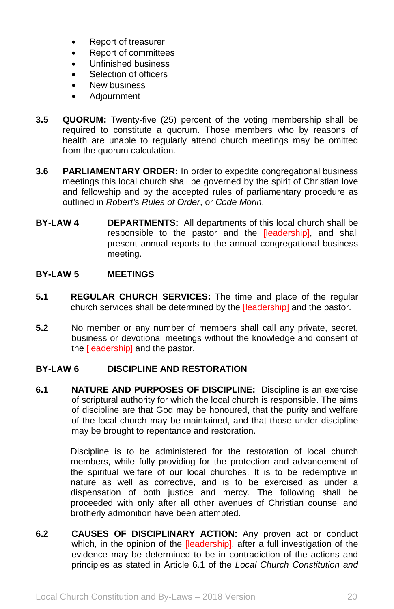- Report of treasurer
- Report of committees
- Unfinished business
- Selection of officers
- New business
- Adjournment
- **3.5 QUORUM:** Twenty-five (25) percent of the voting membership shall be required to constitute a quorum. Those members who by reasons of health are unable to regularly attend church meetings may be omitted from the quorum calculation.
- **3.6 PARLIAMENTARY ORDER:** In order to expedite congregational business meetings this local church shall be governed by the spirit of Christian love and fellowship and by the accepted rules of parliamentary procedure as outlined in *Robert's Rules of Order*, or *Code Morin*.
- **BY-LAW 4 DEPARTMENTS:** All departments of this local church shall be responsible to the pastor and the [leadership], and shall present annual reports to the annual congregational business meeting.

### **BY-LAW 5 MEETINGS**

- **5.1 REGULAR CHURCH SERVICES:** The time and place of the regular church services shall be determined by the [leadership] and the pastor.
- **5.2** No member or any number of members shall call any private, secret, business or devotional meetings without the knowledge and consent of the [leadership] and the pastor.

# **BY-LAW 6 DISCIPLINE AND RESTORATION**

**6.1 NATURE AND PURPOSES OF DISCIPLINE:** Discipline is an exercise of scriptural authority for which the local church is responsible. The aims of discipline are that God may be honoured, that the purity and welfare of the local church may be maintained, and that those under discipline may be brought to repentance and restoration.

> Discipline is to be administered for the restoration of local church members, while fully providing for the protection and advancement of the spiritual welfare of our local churches. It is to be redemptive in nature as well as corrective, and is to be exercised as under a dispensation of both justice and mercy. The following shall be proceeded with only after all other avenues of Christian counsel and brotherly admonition have been attempted.

**6.2 CAUSES OF DISCIPLINARY ACTION:** Any proven act or conduct which, in the opinion of the *[leadership]*, after a full investigation of the evidence may be determined to be in contradiction of the actions and principles as stated in Article 6.1 of the *Local Church Constitution and*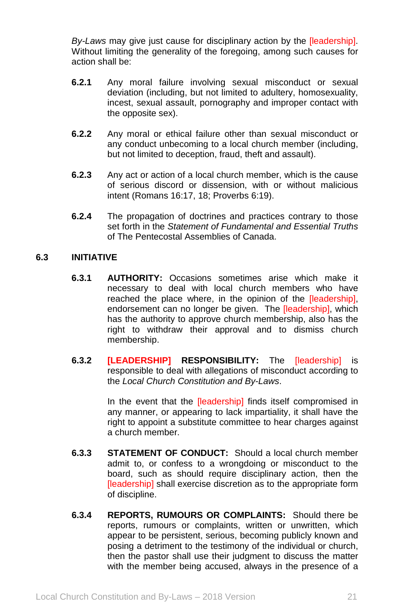*By-Laws* may give just cause for disciplinary action by the [leadership]. Without limiting the generality of the foregoing, among such causes for action shall be:

- **6.2.1** Any moral failure involving sexual misconduct or sexual deviation (including, but not limited to adultery, homosexuality, incest, sexual assault, pornography and improper contact with the opposite sex).
- **6.2.2** Any moral or ethical failure other than sexual misconduct or any conduct unbecoming to a local church member (including, but not limited to deception, fraud, theft and assault).
- **6.2.3** Any act or action of a local church member, which is the cause of serious discord or dissension, with or without malicious intent (Romans 16:17, 18; Proverbs 6:19).
- **6.2.4** The propagation of doctrines and practices contrary to those set forth in the *Statement of Fundamental and Essential Truths* of The Pentecostal Assemblies of Canada.

## **6.3 INITIATIVE**

- **6.3.1 AUTHORITY:** Occasions sometimes arise which make it necessary to deal with local church members who have reached the place where, in the opinion of the [leadership], endorsement can no longer be given. The [leadership], which has the authority to approve church membership, also has the right to withdraw their approval and to dismiss church membership.
- **6.3.2 [LEADERSHIP] RESPONSIBILITY:** The [leadership] is responsible to deal with allegations of misconduct according to the *Local Church Constitution and By-Laws*.

In the event that the **[leadership]** finds itself compromised in any manner, or appearing to lack impartiality, it shall have the right to appoint a substitute committee to hear charges against a church member.

- **6.3.3 STATEMENT OF CONDUCT:** Should a local church member admit to, or confess to a wrongdoing or misconduct to the board, such as should require disciplinary action, then the [leadership] shall exercise discretion as to the appropriate form of discipline.
- **6.3.4 REPORTS, RUMOURS OR COMPLAINTS:** Should there be reports, rumours or complaints, written or unwritten, which appear to be persistent, serious, becoming publicly known and posing a detriment to the testimony of the individual or church, then the pastor shall use their judgment to discuss the matter with the member being accused, always in the presence of a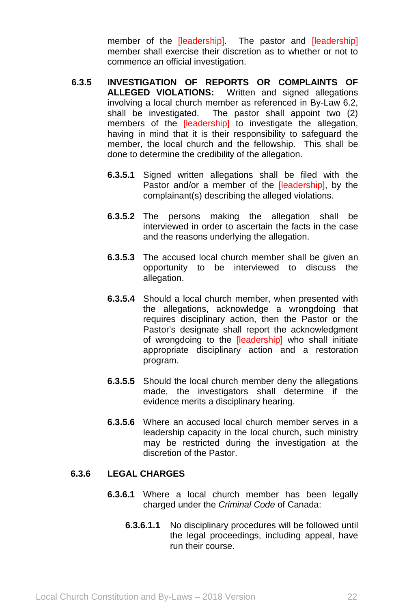member of the *[leadership]*. The pastor and *[leadership]* member shall exercise their discretion as to whether or not to commence an official investigation.

- **6.3.5 INVESTIGATION OF REPORTS OR COMPLAINTS OF ALLEGED VIOLATIONS:** Written and signed allegations involving a local church member as referenced in By-Law 6.2, shall be investigated. The pastor shall appoint two (2) members of the **[leadership]** to investigate the allegation, having in mind that it is their responsibility to safeguard the member, the local church and the fellowship. This shall be done to determine the credibility of the allegation.
	- **6.3.5.1** Signed written allegations shall be filed with the Pastor and/or a member of the *[leadership]*, by the complainant(s) describing the alleged violations.
	- **6.3.5.2** The persons making the allegation shall be interviewed in order to ascertain the facts in the case and the reasons underlying the allegation.
	- **6.3.5.3** The accused local church member shall be given an opportunity to be interviewed to discuss the allegation.
	- **6.3.5.4** Should a local church member, when presented with the allegations, acknowledge a wrongdoing that requires disciplinary action, then the Pastor or the Pastor's designate shall report the acknowledgment of wrongdoing to the [leadership] who shall initiate appropriate disciplinary action and a restoration program.
	- **6.3.5.5** Should the local church member deny the allegations made, the investigators shall determine if the evidence merits a disciplinary hearing.
	- **6.3.5.6** Where an accused local church member serves in a leadership capacity in the local church, such ministry may be restricted during the investigation at the discretion of the Pastor.

## **6.3.6 LEGAL CHARGES**

- **6.3.6.1** Where a local church member has been legally charged under the *Criminal Code* of Canada:
	- **6.3.6.1.1** No disciplinary procedures will be followed until the legal proceedings, including appeal, have run their course.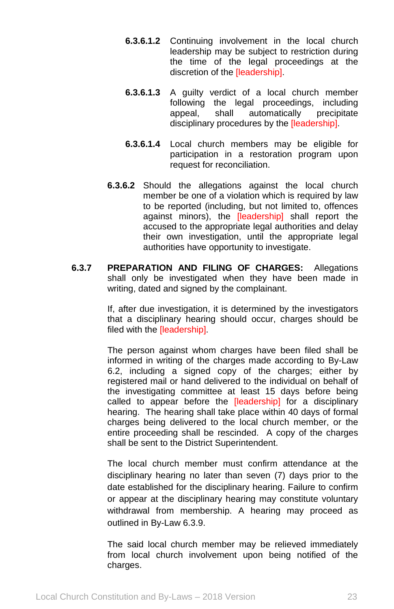- **6.3.6.1.2** Continuing involvement in the local church leadership may be subject to restriction during the time of the legal proceedings at the discretion of the [leadership].
- **6.3.6.1.3** A guilty verdict of a local church member following the legal proceedings, including appeal, shall automatically precipitate disciplinary procedures by the [leadership].
- **6.3.6.1.4** Local church members may be eligible for participation in a restoration program upon request for reconciliation.
- **6.3.6.2** Should the allegations against the local church member be one of a violation which is required by law to be reported (including, but not limited to, offences against minors), the [leadership] shall report the accused to the appropriate legal authorities and delay their own investigation, until the appropriate legal authorities have opportunity to investigate.
- **6.3.7 PREPARATION AND FILING OF CHARGES:** Allegations shall only be investigated when they have been made in writing, dated and signed by the complainant.

If, after due investigation, it is determined by the investigators that a disciplinary hearing should occur, charges should be filed with the **[leadership]**.

The person against whom charges have been filed shall be informed in writing of the charges made according to By-Law 6.2, including a signed copy of the charges; either by registered mail or hand delivered to the individual on behalf of the investigating committee at least 15 days before being called to appear before the [leadership] for a disciplinary hearing. The hearing shall take place within 40 days of formal charges being delivered to the local church member, or the entire proceeding shall be rescinded. A copy of the charges shall be sent to the District Superintendent.

The local church member must confirm attendance at the disciplinary hearing no later than seven (7) days prior to the date established for the disciplinary hearing. Failure to confirm or appear at the disciplinary hearing may constitute voluntary withdrawal from membership. A hearing may proceed as outlined in By-Law 6.3.9.

The said local church member may be relieved immediately from local church involvement upon being notified of the charges.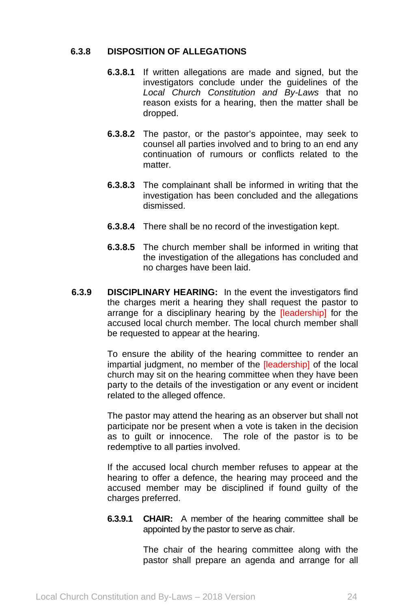## **6.3.8 DISPOSITION OF ALLEGATIONS**

- **6.3.8.1** If written allegations are made and signed, but the investigators conclude under the guidelines of the *Local Church Constitution and By-Laws* that no reason exists for a hearing, then the matter shall be dropped.
- **6.3.8.2** The pastor, or the pastor's appointee, may seek to counsel all parties involved and to bring to an end any continuation of rumours or conflicts related to the matter.
- **6.3.8.3** The complainant shall be informed in writing that the investigation has been concluded and the allegations dismissed.
- **6.3.8.4** There shall be no record of the investigation kept.
- **6.3.8.5** The church member shall be informed in writing that the investigation of the allegations has concluded and no charges have been laid.
- **6.3.9 DISCIPLINARY HEARING:** In the event the investigators find the charges merit a hearing they shall request the pastor to arrange for a disciplinary hearing by the **[leadership]** for the accused local church member. The local church member shall be requested to appear at the hearing.

To ensure the ability of the hearing committee to render an impartial judgment, no member of the [leadership] of the local church may sit on the hearing committee when they have been party to the details of the investigation or any event or incident related to the alleged offence.

The pastor may attend the hearing as an observer but shall not participate nor be present when a vote is taken in the decision as to guilt or innocence. The role of the pastor is to be redemptive to all parties involved.

If the accused local church member refuses to appear at the hearing to offer a defence, the hearing may proceed and the accused member may be disciplined if found guilty of the charges preferred.

**6.3.9.1 CHAIR:** A member of the hearing committee shall be appointed by the pastor to serve as chair.

> The chair of the hearing committee along with the pastor shall prepare an agenda and arrange for all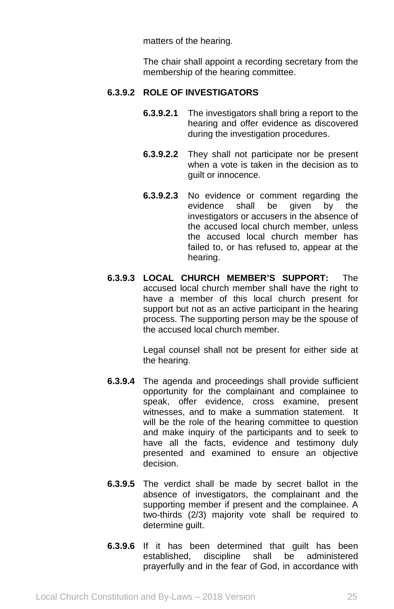matters of the hearing.

The chair shall appoint a recording secretary from the membership of the hearing committee.

# **6.3.9.2 ROLE OF INVESTIGATORS**

- **6.3.9.2.1** The investigators shall bring a report to the hearing and offer evidence as discovered during the investigation procedures.
- **6.3.9.2.2** They shall not participate nor be present when a vote is taken in the decision as to guilt or innocence.
- **6.3.9.2.3** No evidence or comment regarding the evidence shall be given by the investigators or accusers in the absence of the accused local church member, unless the accused local church member has failed to, or has refused to, appear at the hearing.
- **6.3.9.3 LOCAL CHURCH MEMBER'S SUPPORT:** The accused local church member shall have the right to have a member of this local church present for support but not as an active participant in the hearing process. The supporting person may be the spouse of the accused local church member.

Legal counsel shall not be present for either side at the hearing.

- **6.3.9.4** The agenda and proceedings shall provide sufficient opportunity for the complainant and complainee to speak, offer evidence, cross examine, present witnesses, and to make a summation statement. It will be the role of the hearing committee to question and make inquiry of the participants and to seek to have all the facts, evidence and testimony duly presented and examined to ensure an objective decision.
- **6.3.9.5** The verdict shall be made by secret ballot in the absence of investigators, the complainant and the supporting member if present and the complainee. A two-thirds (2/3) majority vote shall be required to determine guilt.
- **6.3.9.6** If it has been determined that guilt has been established, discipline shall be administered prayerfully and in the fear of God, in accordance with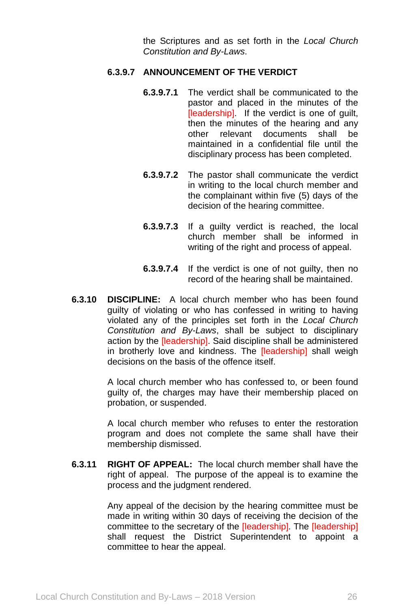the Scriptures and as set forth in the *Local Church Constitution and By-Laws*.

## **6.3.9.7 ANNOUNCEMENT OF THE VERDICT**

- **6.3.9.7.1** The verdict shall be communicated to the pastor and placed in the minutes of the [leadership]. If the verdict is one of guilt, then the minutes of the hearing and any<br>other relevant documents shall be other relevant documents shall be maintained in a confidential file until the disciplinary process has been completed.
- **6.3.9.7.2** The pastor shall communicate the verdict in writing to the local church member and the complainant within five (5) days of the decision of the hearing committee.
- **6.3.9.7.3** If a guilty verdict is reached, the local church member shall be informed in writing of the right and process of appeal.
- **6.3.9.7.4** If the verdict is one of not guilty, then no record of the hearing shall be maintained.
- **6.3.10 DISCIPLINE:** A local church member who has been found guilty of violating or who has confessed in writing to having violated any of the principles set forth in the *Local Church Constitution and By-Laws*, shall be subject to disciplinary action by the *[leadership]*. Said discipline shall be administered in brotherly love and kindness. The [leadership] shall weigh decisions on the basis of the offence itself.

A local church member who has confessed to, or been found guilty of, the charges may have their membership placed on probation, or suspended.

A local church member who refuses to enter the restoration program and does not complete the same shall have their membership dismissed.

**6.3.11 RIGHT OF APPEAL:** The local church member shall have the right of appeal. The purpose of the appeal is to examine the process and the judgment rendered.

> Any appeal of the decision by the hearing committee must be made in writing within 30 days of receiving the decision of the committee to the secretary of the [leadership]. The [leadership] shall request the District Superintendent to appoint a committee to hear the appeal.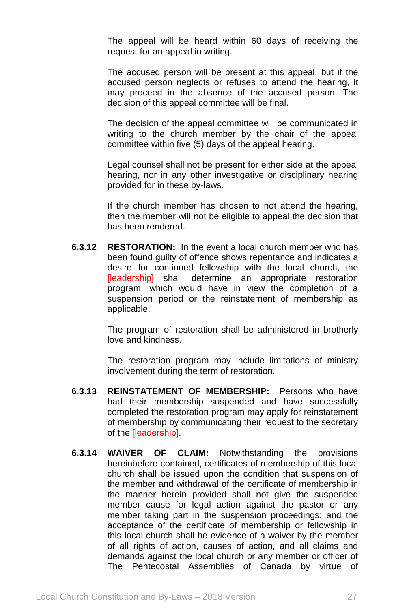The appeal will be heard within 60 days of receiving the request for an appeal in writing.

The accused person will be present at this appeal, but if the accused person neglects or refuses to attend the hearing, it may proceed in the absence of the accused person. The decision of this appeal committee will be final.

The decision of the appeal committee will be communicated in writing to the church member by the chair of the appeal committee within five (5) days of the appeal hearing.

Legal counsel shall not be present for either side at the appeal hearing, nor in any other investigative or disciplinary hearing provided for in these by-laws.

If the church member has chosen to not attend the hearing, then the member will not be eligible to appeal the decision that has been rendered.

**6.3.12 RESTORATION:** In the event a local church member who has been found guilty of offence shows repentance and indicates a desire for continued fellowship with the local church, the [leadership] shall determine an appropriate restoration program, which would have in view the completion of a suspension period or the reinstatement of membership as applicable.

> The program of restoration shall be administered in brotherly love and kindness.

> The restoration program may include limitations of ministry involvement during the term of restoration.

- **6.3.13 REINSTATEMENT OF MEMBERSHIP:** Persons who have had their membership suspended and have successfully completed the restoration program may apply for reinstatement of membership by communicating their request to the secretary of the [leadership].
- **6.3.14 WAIVER OF CLAIM:** Notwithstanding the provisions hereinbefore contained, certificates of membership of this local church shall be issued upon the condition that suspension of the member and withdrawal of the certificate of membership in the manner herein provided shall not give the suspended member cause for legal action against the pastor or any member taking part in the suspension proceedings; and the acceptance of the certificate of membership or fellowship in this local church shall be evidence of a waiver by the member of all rights of action, causes of action, and all claims and demands against the local church or any member or officer of The Pentecostal Assemblies of Canada by virtue of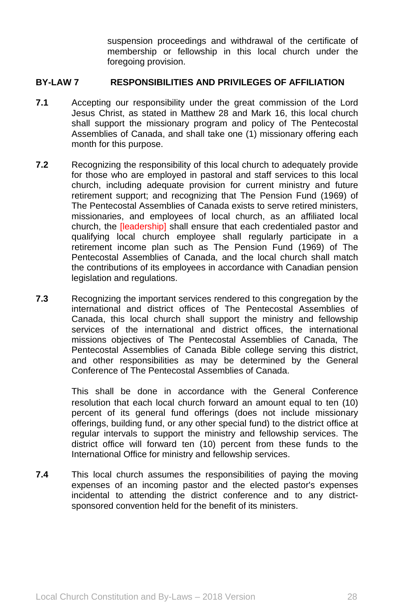suspension proceedings and withdrawal of the certificate of membership or fellowship in this local church under the foregoing provision.

## **BY-LAW 7 RESPONSIBILITIES AND PRIVILEGES OF AFFILIATION**

- **7.1** Accepting our responsibility under the great commission of the Lord Jesus Christ, as stated in Matthew 28 and Mark 16, this local church shall support the missionary program and policy of The Pentecostal Assemblies of Canada, and shall take one (1) missionary offering each month for this purpose.
- **7.2** Recognizing the responsibility of this local church to adequately provide for those who are employed in pastoral and staff services to this local church, including adequate provision for current ministry and future retirement support; and recognizing that The Pension Fund (1969) of The Pentecostal Assemblies of Canada exists to serve retired ministers, missionaries, and employees of local church, as an affiliated local church, the [leadership] shall ensure that each credentialed pastor and qualifying local church employee shall regularly participate in a retirement income plan such as The Pension Fund (1969) of The Pentecostal Assemblies of Canada, and the local church shall match the contributions of its employees in accordance with Canadian pension legislation and regulations.
- **7.3** Recognizing the important services rendered to this congregation by the international and district offices of The Pentecostal Assemblies of Canada, this local church shall support the ministry and fellowship services of the international and district offices, the international missions objectives of The Pentecostal Assemblies of Canada, The Pentecostal Assemblies of Canada Bible college serving this district, and other responsibilities as may be determined by the General Conference of The Pentecostal Assemblies of Canada.

This shall be done in accordance with the General Conference resolution that each local church forward an amount equal to ten (10) percent of its general fund offerings (does not include missionary offerings, building fund, or any other special fund) to the district office at regular intervals to support the ministry and fellowship services. The district office will forward ten (10) percent from these funds to the International Office for ministry and fellowship services.

**7.4** This local church assumes the responsibilities of paying the moving expenses of an incoming pastor and the elected pastor's expenses incidental to attending the district conference and to any districtsponsored convention held for the benefit of its ministers.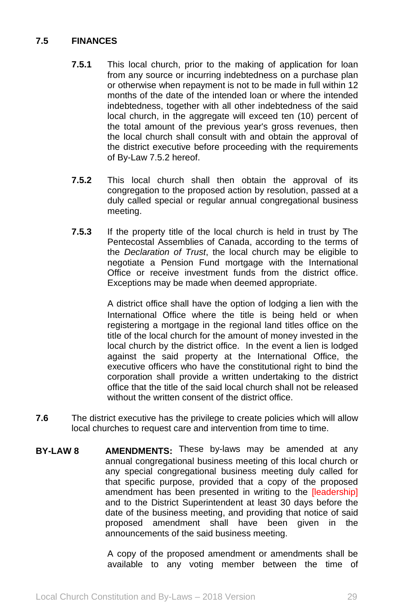# **7.5 FINANCES**

- **7.5.1** This local church, prior to the making of application for loan from any source or incurring indebtedness on a purchase plan or otherwise when repayment is not to be made in full within 12 months of the date of the intended loan or where the intended indebtedness, together with all other indebtedness of the said local church, in the aggregate will exceed ten (10) percent of the total amount of the previous year's gross revenues, then the local church shall consult with and obtain the approval of the district executive before proceeding with the requirements of By-Law 7.5.2 hereof.
- **7.5.2** This local church shall then obtain the approval of its congregation to the proposed action by resolution, passed at a duly called special or regular annual congregational business meeting.
- **7.5.3** If the property title of the local church is held in trust by The Pentecostal Assemblies of Canada, according to the terms of the *Declaration of Trust*, the local church may be eligible to negotiate a Pension Fund mortgage with the International Office or receive investment funds from the district office. Exceptions may be made when deemed appropriate.

A district office shall have the option of lodging a lien with the International Office where the title is being held or when registering a mortgage in the regional land titles office on the title of the local church for the amount of money invested in the local church by the district office. In the event a lien is lodged against the said property at the International Office, the executive officers who have the constitutional right to bind the corporation shall provide a written undertaking to the district office that the title of the said local church shall not be released without the written consent of the district office.

- **7.6** The district executive has the privilege to create policies which will allow local churches to request care and intervention from time to time.
- **BY-LAW 8 AMENDMENTS:** These by-laws may be amended at any annual congregational business meeting of this local church or any special congregational business meeting duly called for that specific purpose, provided that a copy of the proposed amendment has been presented in writing to the *[leadership]* and to the District Superintendent at least 30 days before the date of the business meeting, and providing that notice of said proposed amendment shall have been given in the announcements of the said business meeting.

A copy of the proposed amendment or amendments shall be available to any voting member between the time of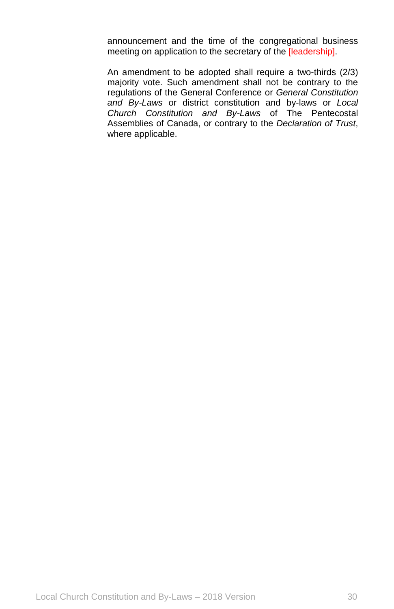announcement and the time of the congregational business meeting on application to the secretary of the [leadership].

An amendment to be adopted shall require a two-thirds (2/3) majority vote. Such amendment shall not be contrary to the regulations of the General Conference or *General Constitution and By-Laws* or district constitution and by-laws or *Local Church Constitution and By-Laws* of The Pentecostal Assemblies of Canada, or contrary to the *Declaration of Trust*, where applicable.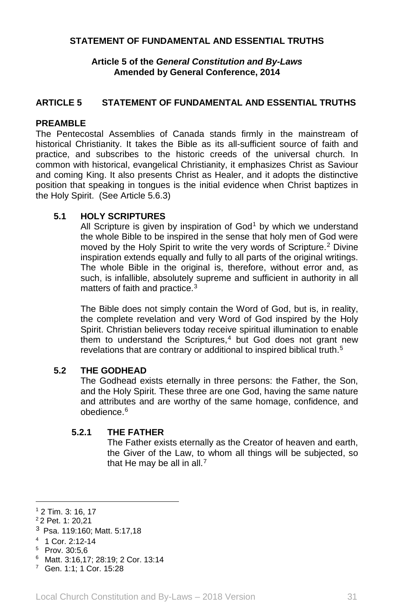## **STATEMENT OF FUNDAMENTAL AND ESSENTIAL TRUTHS**

### **Article 5 of the** *General Constitution and By-Laws* **Amended by General Conference, 2014**

# **ARTICLE 5 STATEMENT OF FUNDAMENTAL AND ESSENTIAL TRUTHS**

## **PREAMBLE**

The Pentecostal Assemblies of Canada stands firmly in the mainstream of historical Christianity. It takes the Bible as its all-sufficient source of faith and practice, and subscribes to the historic creeds of the universal church. In common with historical, evangelical Christianity, it emphasizes Christ as Saviour and coming King. It also presents Christ as Healer, and it adopts the distinctive position that speaking in tongues is the initial evidence when Christ baptizes in the Holy Spirit. (See Article 5.6.3)

### **5.1 HOLY SCRIPTURES**

All Scripture is given by inspiration of  $God<sup>1</sup>$  $God<sup>1</sup>$  $God<sup>1</sup>$  by which we understand the whole Bible to be inspired in the sense that holy men of God were moved by the Holy Spirit to write the very words of Scripture.[2](#page-31-1) Divine inspiration extends equally and fully to all parts of the original writings. The whole Bible in the original is, therefore, without error and, as such, is infallible, absolutely supreme and sufficient in authority in all matters of faith and practice.[3](#page-31-2)

The Bible does not simply contain the Word of God, but is, in reality, the complete revelation and very Word of God inspired by the Holy Spirit. Christian believers today receive spiritual illumination to enable them to understand the Scriptures, $4$  but God does not grant new revelations that are contrary or additional to inspired biblical truth.[5](#page-31-4)

#### **5.2 THE GODHEAD**

The Godhead exists eternally in three persons: the Father, the Son, and the Holy Spirit. These three are one God, having the same nature and attributes and are worthy of the same homage, confidence, and obedience.[6](#page-31-5)

#### **5.2.1 THE FATHER**

The Father exists eternally as the Creator of heaven and earth, the Giver of the Law, to whom all things will be subjected, so that He may be all in all. $<sup>7</sup>$  $<sup>7</sup>$  $<sup>7</sup>$ </sup>

 $\overline{\phantom{a}}$ 

<span id="page-31-0"></span><sup>1</sup> 2 Tim. 3: 16, 17

<span id="page-31-1"></span><sup>2</sup> 2 Pet. 1: 20,21

<span id="page-31-2"></span><sup>3</sup> Psa. 119:160; Matt. 5:17,18

<span id="page-31-3"></span><sup>4</sup> 1 Cor. 2:12-14

<span id="page-31-4"></span><sup>5</sup> Prov. 30:5,6

<span id="page-31-5"></span><sup>6</sup> Matt. 3:16,17; 28:19; 2 Cor. 13:14

<span id="page-31-6"></span><sup>7</sup> Gen. 1:1; 1 Cor. 15:28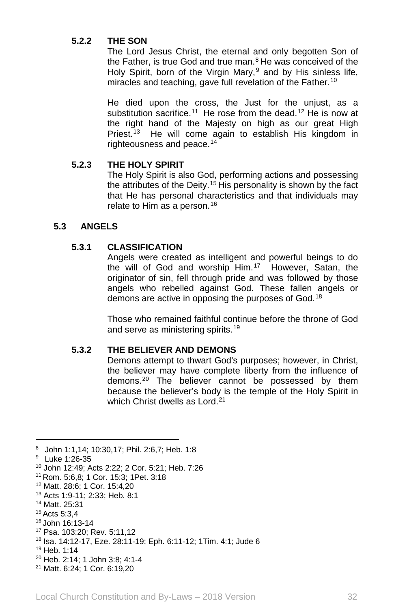# **5.2.2 THE SON**

The Lord Jesus Christ, the eternal and only begotten Son of the Father, is true God and true man. $8$  He was conceived of the Holy Spirit, born of the Virgin Mary,  $9$  and by His sinless life, miracles and teaching, gave full revelation of the Father.<sup>[10](#page-32-2)</sup>

He died upon the cross, the Just for the unjust, as a substitution sacrifice.<sup>[11](#page-32-3)</sup> He rose from the dead.<sup>[12](#page-32-4)</sup> He is now at the right hand of the Majesty on high as our great High Priest.[13](#page-32-5) He will come again to establish His kingdom in righteousness and peace.[14](#page-32-6)

### **5.2.3 THE HOLY SPIRIT**

The Holy Spirit is also God, performing actions and possessing the attributes of the Deity.<sup>[15](#page-32-7)</sup> His personality is shown by the fact that He has personal characteristics and that individuals may relate to Him as a person.<sup>[16](#page-32-8)</sup>

## **5.3 ANGELS**

## **5.3.1 CLASSIFICATION**

Angels were created as intelligent and powerful beings to do the will of God and worship Him.[17](#page-32-9) However, Satan, the originator of sin, fell through pride and was followed by those angels who rebelled against God. These fallen angels or demons are active in opposing the purposes of God.[18](#page-32-10)

Those who remained faithful continue before the throne of God and serve as ministering spirits.<sup>[19](#page-32-11)</sup>

## **5.3.2 THE BELIEVER AND DEMONS**

Demons attempt to thwart God's purposes; however, in Christ, the believer may have complete liberty from the influence of demons.[20](#page-32-12) The believer cannot be possessed by them because the believer's body is the temple of the Holy Spirit in which Christ dwells as Lord.<sup>[21](#page-32-13)</sup>

 $\overline{\phantom{a}}$ 

<span id="page-32-0"></span><sup>8</sup> John 1:1,14; 10:30,17; Phil. 2:6,7; Heb. 1:8

<span id="page-32-1"></span><sup>9</sup> Luke 1:26-35

<span id="page-32-2"></span><sup>10</sup> John 12:49; Acts 2:22; 2 Cor. 5:21; Heb. 7:26

<span id="page-32-3"></span><sup>11</sup> Rom. 5:6,8; 1 Cor. 15:3; 1Pet. 3:18

<span id="page-32-4"></span><sup>12</sup> Matt. 28:6; 1 Cor. 15:4,20

<span id="page-32-5"></span><sup>13</sup> Acts 1:9-11; 2:33; Heb. 8:1

<span id="page-32-6"></span><sup>14</sup> Matt. 25:31

<span id="page-32-7"></span><sup>15</sup> Acts 5:3,4

<span id="page-32-8"></span><sup>16</sup> John 16:13-14

<span id="page-32-9"></span><sup>17</sup> Psa. 103:20; Rev. 5:11,12

<span id="page-32-10"></span><sup>18</sup> Isa. 14:12-17, Eze. 28:11-19; Eph. 6:11-12; 1Tim. 4:1; Jude 6

<span id="page-32-11"></span><sup>19</sup> Heb. 1:14

<span id="page-32-12"></span><sup>20</sup> Heb. 2:14; 1 John 3:8; 4:1-4

<span id="page-32-13"></span><sup>21</sup> Matt. 6:24; 1 Cor. 6:19,20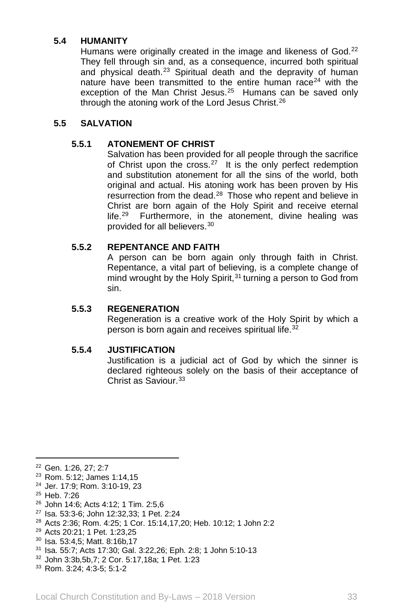# **5.4 HUMANITY**

Humans were originally created in the image and likeness of God.<sup>[22](#page-33-0)</sup> They fell through sin and, as a consequence, incurred both spiritual and physical death.<sup>[23](#page-33-1)</sup> Spiritual death and the depravity of human nature have been transmitted to the entire human race<sup>[24](#page-33-2)</sup> with the exception of the Man Christ Jesus.<sup>[25](#page-33-3)</sup> Humans can be saved only through the atoning work of the Lord Jesus Christ.[26](#page-33-4)

# **5.5 SALVATION**

## **5.5.1 ATONEMENT OF CHRIST**

Salvation has been provided for all people through the sacrifice of Christ upon the cross. $27$  It is the only perfect redemption and substitution atonement for all the sins of the world, both original and actual. His atoning work has been proven by His resurrection from the dead.<sup>[28](#page-33-6)</sup> Those who repent and believe in Christ are born again of the Holy Spirit and receive eternal life.<sup>[29](#page-33-7)</sup> Furthermore, in the atonement, divine healing was provided for all believers.[30](#page-33-8)

### **5.5.2 REPENTANCE AND FAITH**

A person can be born again only through faith in Christ. Repentance, a vital part of believing, is a complete change of mind wrought by the Holy Spirit,  $31$  turning a person to God from sin.

### **5.5.3 REGENERATION**

Regeneration is a creative work of the Holy Spirit by which a person is born again and receives spiritual life.<sup>[32](#page-33-10)</sup>

#### **5.5.4 JUSTIFICATION**

Justification is a judicial act of God by which the sinner is declared righteous solely on the basis of their acceptance of Christ as Saviour.<sup>[33](#page-33-11)</sup>

<span id="page-33-0"></span><sup>22</sup> Gen. 1:26, 27; 2:7

- <span id="page-33-2"></span><sup>24</sup> Jer. 17:9; Rom. 3:10-19, 23
- <span id="page-33-3"></span><sup>25</sup> Heb. 7:26

 $\overline{\phantom{a}}$ 

<span id="page-33-4"></span><sup>26</sup> John 14:6; Acts 4:12; 1 Tim. 2:5,6

- <span id="page-33-6"></span><sup>28</sup> Acts 2:36; Rom. 4:25; 1 Cor. 15:14,17,20; Heb. 10:12; 1 John 2:2
- <span id="page-33-7"></span><sup>29</sup> Acts 20:21; 1 Pet. 1:23,25
- <span id="page-33-8"></span><sup>30</sup> Isa. 53:4,5; Matt. 8:16b,17
- <span id="page-33-9"></span><sup>31</sup> Isa. 55:7; Acts 17:30; Gal. 3:22,26; Eph. 2:8; 1 John 5:10-13
- <span id="page-33-10"></span><sup>32</sup> John 3:3b,5b,7; 2 Cor. 5:17,18a; 1 Pet. 1:23
- <span id="page-33-11"></span><sup>33</sup> Rom. 3:24; 4:3-5; 5:1-2

<span id="page-33-1"></span><sup>23</sup> Rom. 5:12; James 1:14,15

<span id="page-33-5"></span><sup>27</sup> Isa. 53:3-6; John 12:32,33; 1 Pet. 2:24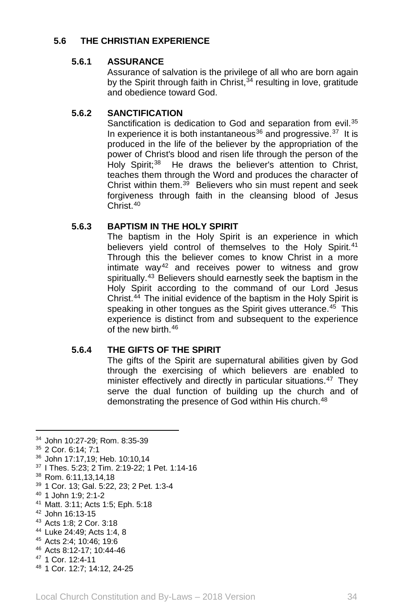# **5.6 THE CHRISTIAN EXPERIENCE**

# **5.6.1 ASSURANCE**

Assurance of salvation is the privilege of all who are born again by the Spirit through faith in Christ,  $34$  resulting in love, gratitude and obedience toward God.

# **5.6.2 SANCTIFICATION**

Sanctification is dedication to God and separation from evil.<sup>[35](#page-34-1)</sup> In experience it is both instantaneous<sup>[36](#page-34-2)</sup> and progressive.<sup>37</sup> It is produced in the life of the believer by the appropriation of the power of Christ's blood and risen life through the person of the Holy Spirit;<sup>38</sup> He draws the believer's attention to Christ, teaches them through the Word and produces the character of Christ within them. $3\overline{9}$  Believers who sin must repent and seek forgiveness through faith in the cleansing blood of Jesus Christ<sup>[40](#page-34-6)</sup>

# **5.6.3 BAPTISM IN THE HOLY SPIRIT**

The baptism in the Holy Spirit is an experience in which believers yield control of themselves to the Holy Spirit.<sup>[41](#page-34-7)</sup> Through this the believer comes to know Christ in a more intimate way<sup>[42](#page-34-8)</sup> and receives power to witness and grow spiritually.<sup>[43](#page-34-9)</sup> Believers should earnestly seek the baptism in the Holy Spirit according to the command of our Lord Jesus Christ.[44](#page-34-10) The initial evidence of the baptism in the Holy Spirit is speaking in other tongues as the Spirit gives utterance.<sup>[45](#page-34-11)</sup> This experience is distinct from and subsequent to the experience of the new birth [46](#page-34-12)

## **5.6.4 THE GIFTS OF THE SPIRIT**

The gifts of the Spirit are supernatural abilities given by God through the exercising of which believers are enabled to minister effectively and directly in particular situations.<sup>47</sup> They serve the dual function of building up the church and of demonstrating the presence of God within His church.<sup>[48](#page-34-14)</sup>

 $\overline{a}$ 

<span id="page-34-5"></span><sup>39</sup> 1 Cor. 13; Gal. 5:22, 23; 2 Pet. 1:3-4

<span id="page-34-8"></span><sup>42</sup> John 16:13-15

- <span id="page-34-10"></span><sup>44</sup> Luke 24:49; Acts 1:4, 8
- <span id="page-34-11"></span><sup>45</sup> Acts 2:4; 10:46; 19:6
- <span id="page-34-12"></span><sup>46</sup> Acts 8:12-17; 10:44-46
- <span id="page-34-13"></span><sup>47</sup> 1 Cor. 12:4-11
- <span id="page-34-14"></span><sup>48</sup> 1 Cor. 12:7; 14:12, 24-25

<span id="page-34-0"></span><sup>34</sup> John 10:27-29; Rom. 8:35-39

<span id="page-34-1"></span><sup>35</sup> 2 Cor. 6:14; 7:1

<span id="page-34-2"></span><sup>36</sup> John 17:17,19; Heb. 10:10,14

<span id="page-34-3"></span><sup>37</sup> I Thes. 5:23; 2 Tim. 2:19-22; 1 Pet. 1:14-16

<span id="page-34-4"></span><sup>38</sup> Rom. 6:11,13,14,18

<span id="page-34-6"></span><sup>40</sup> 1 John 1:9; 2:1-2

<span id="page-34-7"></span><sup>41</sup> Matt. 3:11; Acts 1:5; Eph. 5:18

<span id="page-34-9"></span><sup>43</sup> Acts 1:8; 2 Cor. 3:18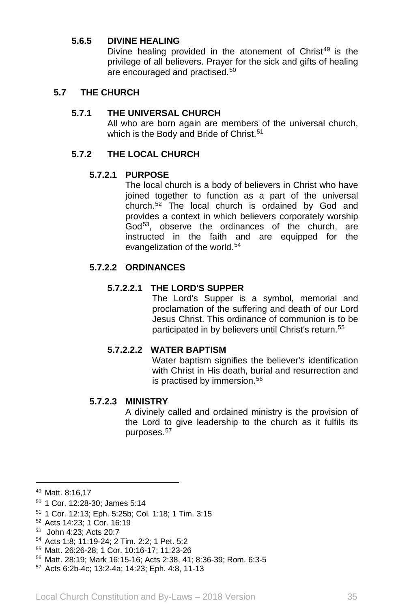### **5.6.5 DIVINE HEALING**

Divine healing provided in the atonement of Christ<sup>[49](#page-35-0)</sup> is the privilege of all believers. Prayer for the sick and gifts of healing are encouraged and practised.[50](#page-35-1)

### **5.7 THE CHURCH**

### **5.7.1 THE UNIVERSAL CHURCH**

All who are born again are members of the universal church, which is the Body and Bride of Christ.<sup>[51](#page-35-2)</sup>

### **5.7.2 THE LOCAL CHURCH**

#### **5.7.2.1 PURPOSE**

The local church is a body of believers in Christ who have joined together to function as a part of the universal church.[52](#page-35-3) The local church is ordained by God and provides a context in which believers corporately worship God<sup>[53](#page-35-4)</sup>, observe the ordinances of the church, are instructed in the faith and are equipped for the evangelization of the world.<sup>[54](#page-35-5)</sup>

# **5.7.2.2 ORDINANCES**

#### **5.7.2.2.1 THE LORD'S SUPPER**

The Lord's Supper is a symbol, memorial and proclamation of the suffering and death of our Lord Jesus Christ. This ordinance of communion is to be participated in by believers until Christ's return.<sup>[55](#page-35-6)</sup>

### **5.7.2.2.2 WATER BAPTISM**

Water baptism signifies the believer's identification with Christ in His death, burial and resurrection and is practised by immersion.<sup>[56](#page-35-7)</sup>

#### **5.7.2.3 MINISTRY**

A divinely called and ordained ministry is the provision of the Lord to give leadership to the church as it fulfils its purposes.[57](#page-35-8)

 $\overline{\phantom{a}}$ 

<span id="page-35-0"></span><sup>49</sup> Matt. 8:16,17

<span id="page-35-1"></span><sup>50</sup> 1 Cor. 12:28-30; James 5:14

<span id="page-35-2"></span><sup>51</sup> 1 Cor. 12:13; Eph. 5:25b; Col. 1:18; 1 Tim. 3:15

<span id="page-35-3"></span><sup>52</sup> Acts 14:23; 1 Cor. 16:19

<span id="page-35-4"></span><sup>53</sup> John 4:23; Acts 20:7

<span id="page-35-5"></span><sup>54</sup> Acts 1:8; 11:19-24; 2 Tim. 2:2; 1 Pet. 5:2

<span id="page-35-6"></span><sup>55</sup> Matt. 26:26-28; 1 Cor. 10:16-17; 11:23-26

<span id="page-35-7"></span><sup>56</sup> Matt. 28:19; Mark 16:15-16; Acts 2:38, 41; 8:36-39; Rom. 6:3-5

<span id="page-35-8"></span><sup>57</sup> Acts 6:2b-4c; 13:2-4a; 14:23; Eph. 4:8, 11-13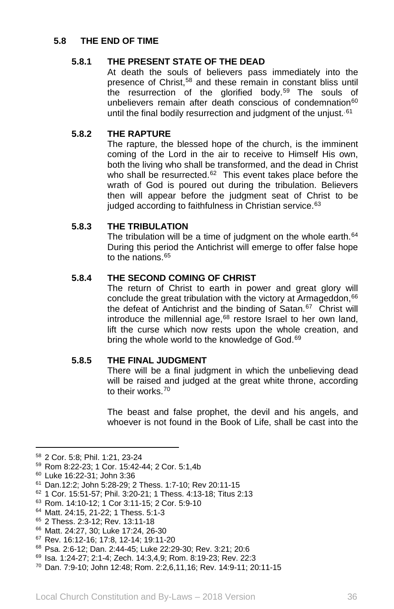# **5.8 THE END OF TIME**

## **5.8.1 THE PRESENT STATE OF THE DEAD**

At death the souls of believers pass immediately into the presence of Christ,<sup>[58](#page-36-0)</sup> and these remain in constant bliss until the resurrection of the glorified body.<sup>[59](#page-36-1)</sup> The souls of unbelievers remain after death conscious of condemnation<sup>[60](#page-36-2)</sup> until the final bodily resurrection and judgment of the unjust.<sup>[61](#page-36-3)</sup>

### **5.8.2 THE RAPTURE**

The rapture, the blessed hope of the church, is the imminent coming of the Lord in the air to receive to Himself His own, both the living who shall be transformed, and the dead in Christ who shall be resurrected. $62$  This event takes place before the wrath of God is poured out during the tribulation. Believers then will appear before the judgment seat of Christ to be judged according to faithfulness in Christian service.<sup>[63](#page-36-5)</sup>

### **5.8.3 THE TRIBULATION**

The tribulation will be a time of judgment on the whole earth.<sup>[64](#page-36-6)</sup> During this period the Antichrist will emerge to offer false hope to the nations.<sup>[65](#page-36-7)</sup>

### **5.8.4 THE SECOND COMING OF CHRIST**

The return of Christ to earth in power and great glory will conclude the great tribulation with the victory at Armageddon, $66$ the defeat of Antichrist and the binding of Satan.<sup>[67](#page-36-9)</sup> Christ will introduce the millennial age, $68$  restore Israel to her own land, lift the curse which now rests upon the whole creation, and bring the whole world to the knowledge of God.<sup>[69](#page-36-11)</sup>

#### **5.8.5 THE FINAL JUDGMENT**

There will be a final judgment in which the unbelieving dead will be raised and judged at the great white throne, according to their works.<sup>[70](#page-36-12)</sup>

The beast and false prophet, the devil and his angels, and whoever is not found in the Book of Life, shall be cast into the

l

- <span id="page-36-6"></span><sup>64</sup> Matt. 24:15, 21-22; 1 Thess. 5:1-3
- <span id="page-36-7"></span><sup>65</sup> 2 Thess. 2:3-12; Rev. 13:11-18
- <span id="page-36-8"></span><sup>66</sup> Matt. 24:27, 30; Luke 17:24, 26-30

<span id="page-36-0"></span><sup>58</sup> 2 Cor. 5:8; Phil. 1:21, 23-24

<span id="page-36-1"></span><sup>59</sup> Rom 8:22-23; 1 Cor. 15:42-44; 2 Cor. 5:1,4b

<span id="page-36-2"></span><sup>60</sup> Luke 16:22-31; John 3:36

<span id="page-36-3"></span><sup>61</sup> Dan.12:2; John 5:28-29; 2 Thess. 1:7-10; Rev 20:11-15

<span id="page-36-4"></span><sup>62</sup> 1 Cor. 15:51-57; Phil. 3:20-21; 1 Thess. 4:13-18; Titus 2:13

<span id="page-36-5"></span><sup>63</sup> Rom. 14:10-12; 1 Cor 3:11-15; 2 Cor. 5:9-10

<span id="page-36-9"></span><sup>67</sup> Rev. 16:12-16; 17:8, 12-14; 19:11-20

<span id="page-36-10"></span><sup>68</sup> Psa. 2:6-12; Dan. 2:44-45; Luke 22:29-30; Rev. 3:21; 20:6

<span id="page-36-11"></span><sup>69</sup> Isa. 1:24-27; 2:1-4; Zech. 14:3,4,9; Rom. 8:19-23; Rev. 22:3

<span id="page-36-12"></span><sup>70</sup> Dan. 7:9-10; John 12:48; Rom. 2:2,6,11,16; Rev. 14:9-11; 20:11-15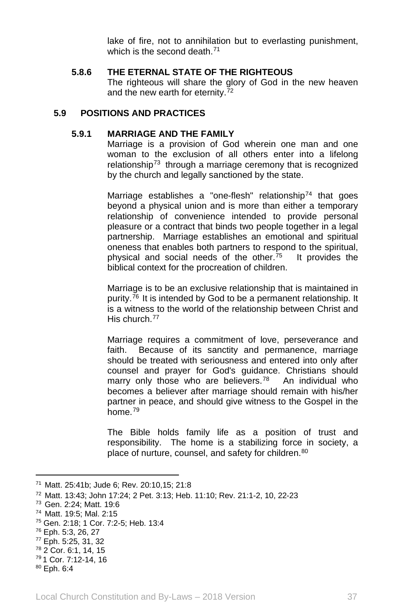lake of fire, not to annihilation but to everlasting punishment, which is the second death <sup>[71](#page-37-0)</sup>

#### **5.8.6 THE ETERNAL STATE OF THE RIGHTEOUS**

The righteous will share the glory of God in the new heaven and the new earth for eternity.<sup>[72](#page-37-1)</sup>

## **5.9 POSITIONS AND PRACTICES**

## **5.9.1 MARRIAGE AND THE FAMILY**

Marriage is a provision of God wherein one man and one woman to the exclusion of all others enter into a lifelong relationship<sup>[73](#page-37-2)</sup> through a marriage ceremony that is recognized by the church and legally sanctioned by the state.

Marriage establishes a "one-flesh" relationship<sup>[74](#page-37-3)</sup> that goes beyond a physical union and is more than either a temporary relationship of convenience intended to provide personal pleasure or a contract that binds two people together in a legal partnership. Marriage establishes an emotional and spiritual oneness that enables both partners to respond to the spiritual, physical and social needs of the other.<sup>[75](#page-37-4)</sup> It provides the biblical context for the procreation of children.

Marriage is to be an exclusive relationship that is maintained in purity.<sup>76</sup> It is intended by God to be a permanent relationship. It is a witness to the world of the relationship between Christ and His church[.77](#page-37-6)

Marriage requires a commitment of love, perseverance and faith. Because of its sanctity and permanence, marriage should be treated with seriousness and entered into only after counsel and prayer for God's guidance. Christians should marry only those who are believers.<sup>78</sup> An individual who becomes a believer after marriage should remain with his/her partner in peace, and should give witness to the Gospel in the home.[79](#page-37-8)

The Bible holds family life as a position of trust and responsibility. The home is a stabilizing force in society, a place of nurture, counsel, and safety for children.<sup>[80](#page-37-9)</sup>

 $\overline{a}$ 

<span id="page-37-0"></span><sup>71</sup> Matt. 25:41b; Jude 6; Rev. 20:10,15; 21:8

<span id="page-37-1"></span><sup>72</sup> Matt. 13:43; John 17:24; 2 Pet. 3:13; Heb. 11:10; Rev. 21:1-2, 10, 22-23

<span id="page-37-2"></span><sup>73</sup> Gen. 2:24; Matt. 19:6

<span id="page-37-3"></span><sup>74</sup> Matt. 19:5; Mal. 2:15

<span id="page-37-4"></span><sup>75</sup> Gen. 2:18; 1 Cor. 7:2-5; Heb. 13:4

<span id="page-37-5"></span><sup>76</sup> Eph. 5:3, 26, 27

<span id="page-37-6"></span><sup>77</sup> Eph. 5:25, 31, 32

<span id="page-37-7"></span><sup>78</sup> 2 Cor. 6:1, 14, 15

<span id="page-37-8"></span><sup>79</sup> 1 Cor. 7:12-14, 16

<span id="page-37-9"></span><sup>80</sup> Eph. 6:4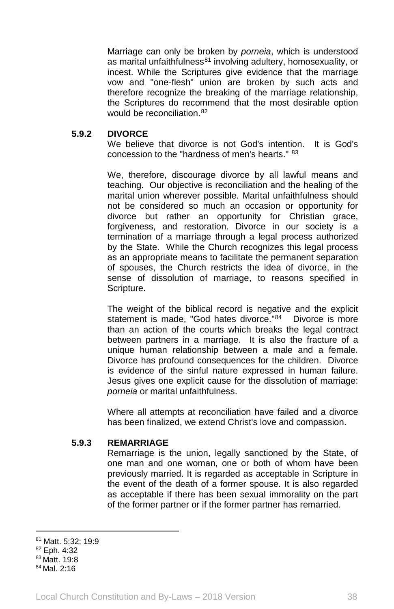Marriage can only be broken by *porneia*, which is understood as marital unfaithfulness $81$  involving adultery, homosexuality, or incest. While the Scriptures give evidence that the marriage vow and "one-flesh" union are broken by such acts and therefore recognize the breaking of the marriage relationship, the Scriptures do recommend that the most desirable option would be reconciliation.<sup>[82](#page-38-1)</sup>

#### **5.9.2 DIVORCE**

We believe that divorce is not God's intention. It is God's concession to the "hardness of men's hearts." [83](#page-38-2)

We, therefore, discourage divorce by all lawful means and teaching. Our objective is reconciliation and the healing of the marital union wherever possible. Marital unfaithfulness should not be considered so much an occasion or opportunity for divorce but rather an opportunity for Christian grace, forgiveness, and restoration. Divorce in our society is a termination of a marriage through a legal process authorized by the State. While the Church recognizes this legal process as an appropriate means to facilitate the permanent separation of spouses, the Church restricts the idea of divorce, in the sense of dissolution of marriage, to reasons specified in Scripture.

The weight of the biblical record is negative and the explicit statement is made, "God hates divorce."[84](#page-38-3) Divorce is more than an action of the courts which breaks the legal contract between partners in a marriage. It is also the fracture of a unique human relationship between a male and a female. Divorce has profound consequences for the children. Divorce is evidence of the sinful nature expressed in human failure. Jesus gives one explicit cause for the dissolution of marriage: *porneia* or marital unfaithfulness.

Where all attempts at reconciliation have failed and a divorce has been finalized, we extend Christ's love and compassion.

#### **5.9.3 REMARRIAGE**

Remarriage is the union, legally sanctioned by the State, of one man and one woman, one or both of whom have been previously married. It is regarded as acceptable in Scripture in the event of the death of a former spouse. It is also regarded as acceptable if there has been sexual immorality on the part of the former partner or if the former partner has remarried.

 $\overline{\phantom{a}}$ 

<span id="page-38-0"></span><sup>81</sup> Matt. 5:32; 19:9

<span id="page-38-1"></span><sup>82</sup> Eph. 4:32

<span id="page-38-2"></span><sup>83</sup> Matt. 19:8

<span id="page-38-3"></span><sup>84</sup> Mal. 2:16